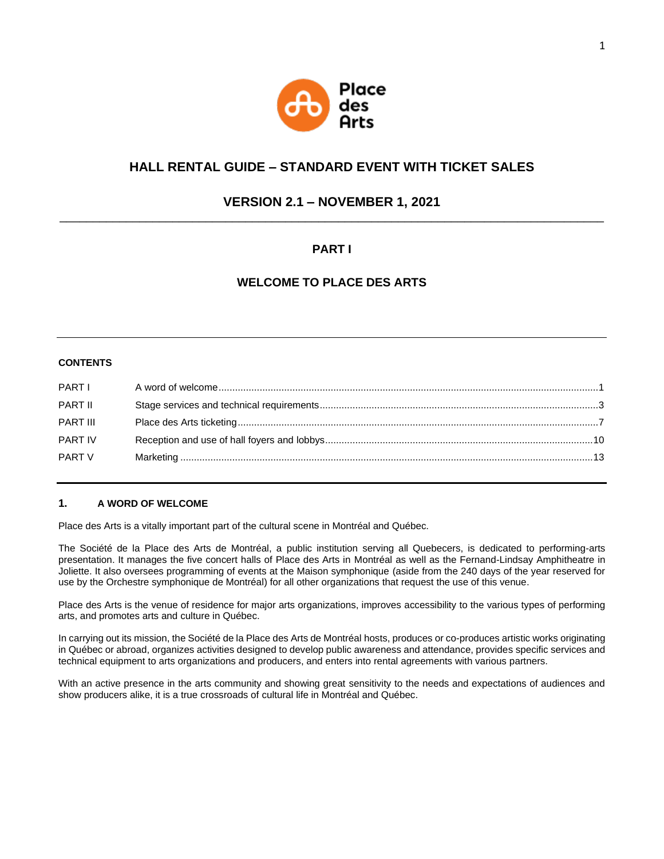

# **HALL RENTAL GUIDE – STANDARD EVENT WITH TICKET SALES**

# **VERSION 2.1 – NOVEMBER 1, 2021** \_\_\_\_\_\_\_\_\_\_\_\_\_\_\_\_\_\_\_\_\_\_\_\_\_\_\_\_\_\_\_\_\_\_\_\_\_\_\_\_\_\_\_\_\_\_\_\_\_\_\_\_\_\_\_\_\_\_\_\_\_\_\_\_\_\_\_\_\_\_\_\_\_\_\_\_\_\_\_\_\_\_

# **PART I**

# **WELCOME TO PLACE DES ARTS**

## **CONTENTS**

| <b>PART I</b>   |  |
|-----------------|--|
| PART II         |  |
| <b>PART III</b> |  |
| PART IV         |  |
| PART V          |  |
|                 |  |

## **1. A WORD OF WELCOME**

Place des Arts is a vitally important part of the cultural scene in Montréal and Québec.

The Société de la Place des Arts de Montréal, a public institution serving all Quebecers, is dedicated to performing-arts presentation. It manages the five concert halls of Place des Arts in Montréal as well as the Fernand-Lindsay Amphitheatre in Joliette. It also oversees programming of events at the Maison symphonique (aside from the 240 days of the year reserved for use by the Orchestre symphonique de Montréal) for all other organizations that request the use of this venue.

Place des Arts is the venue of residence for major arts organizations, improves accessibility to the various types of performing arts, and promotes arts and culture in Québec.

In carrying out its mission, the Société de la Place des Arts de Montréal hosts, produces or co-produces artistic works originating in Québec or abroad, organizes activities designed to develop public awareness and attendance, provides specific services and technical equipment to arts organizations and producers, and enters into rental agreements with various partners.

With an active presence in the arts community and showing great sensitivity to the needs and expectations of audiences and show producers alike, it is a true crossroads of cultural life in Montréal and Québec.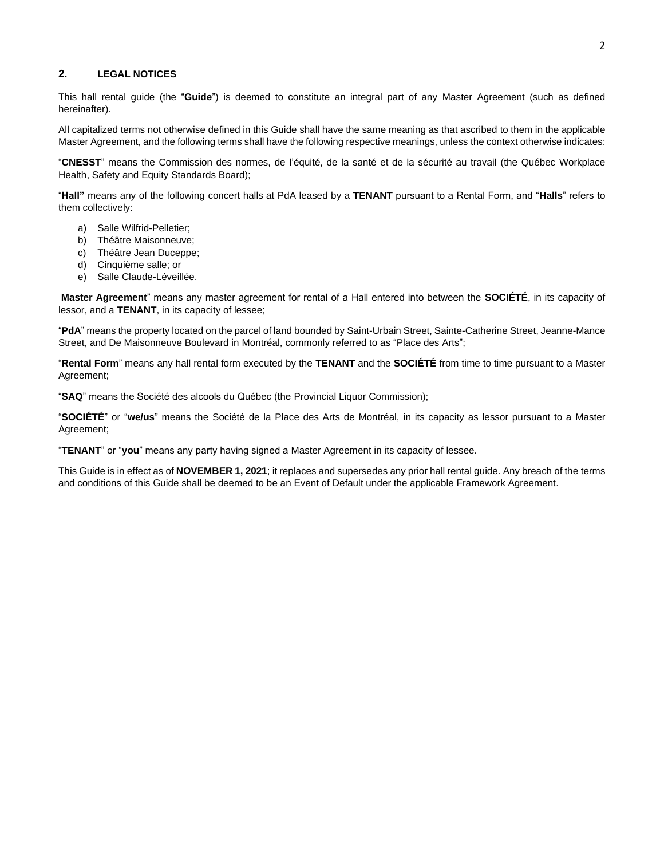## **2. LEGAL NOTICES**

This hall rental guide (the "**Guide**") is deemed to constitute an integral part of any Master Agreement (such as defined hereinafter).

All capitalized terms not otherwise defined in this Guide shall have the same meaning as that ascribed to them in the applicable Master Agreement, and the following terms shall have the following respective meanings, unless the context otherwise indicates:

"**CNESST**" means the Commission des normes, de l'équité, de la santé et de la sécurité au travail (the Québec Workplace Health, Safety and Equity Standards Board);

"**Hall"** means any of the following concert halls at PdA leased by a **TENANT** pursuant to a Rental Form, and "**Halls**" refers to them collectively:

- a) Salle Wilfrid-Pelletier;
- b) Théâtre Maisonneuve;
- c) Théâtre Jean Duceppe;
- d) Cinquième salle; or
- e) Salle Claude-Léveillée.

**Master Agreement**" means any master agreement for rental of a Hall entered into between the **SOCIÉTÉ**, in its capacity of lessor, and a **TENANT**, in its capacity of lessee;

"**PdA**" means the property located on the parcel of land bounded by Saint-Urbain Street, Sainte-Catherine Street, Jeanne-Mance Street, and De Maisonneuve Boulevard in Montréal, commonly referred to as "Place des Arts";

"**Rental Form**" means any hall rental form executed by the **TENANT** and the **SOCIÉTÉ** from time to time pursuant to a Master Agreement;

"**SAQ**" means the Société des alcools du Québec (the Provincial Liquor Commission);

"**SOCIÉTÉ**" or "**we/us**" means the Société de la Place des Arts de Montréal, in its capacity as lessor pursuant to a Master Agreement;

"**TENANT**" or "**you**" means any party having signed a Master Agreement in its capacity of lessee.

This Guide is in effect as of **NOVEMBER 1, 2021**; it replaces and supersedes any prior hall rental guide. Any breach of the terms and conditions of this Guide shall be deemed to be an Event of Default under the applicable Framework Agreement.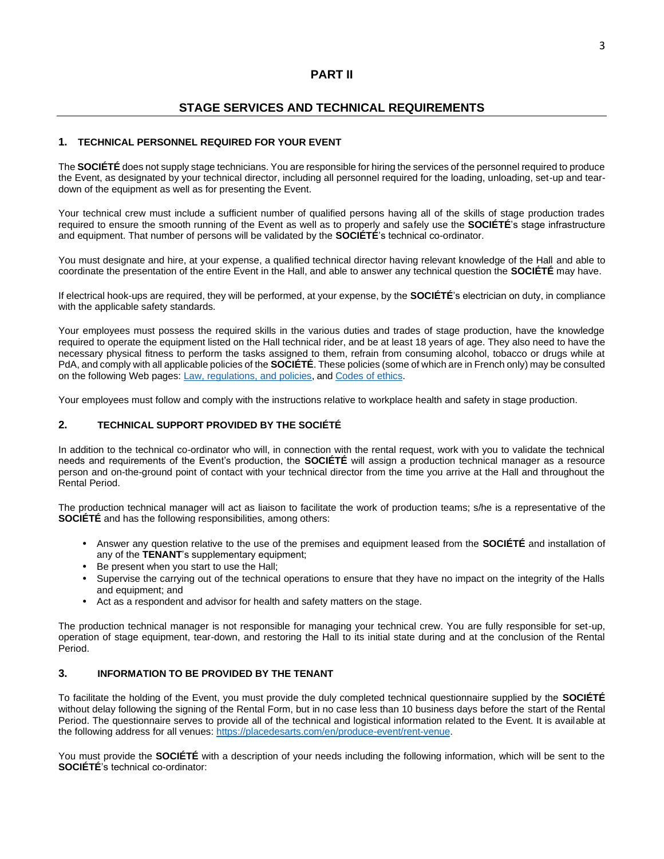# **STAGE SERVICES AND TECHNICAL REQUIREMENTS**

## **1. TECHNICAL PERSONNEL REQUIRED FOR YOUR EVENT**

The **SOCIÉTÉ** does not supply stage technicians. You are responsible for hiring the services of the personnel required to produce the Event, as designated by your technical director, including all personnel required for the loading, unloading, set-up and teardown of the equipment as well as for presenting the Event.

Your technical crew must include a sufficient number of qualified persons having all of the skills of stage production trades required to ensure the smooth running of the Event as well as to properly and safely use the **SOCIÉTÉ**'s stage infrastructure and equipment. That number of persons will be validated by the **SOCIÉTÉ**'s technical co-ordinator.

You must designate and hire, at your expense, a qualified technical director having relevant knowledge of the Hall and able to coordinate the presentation of the entire Event in the Hall, and able to answer any technical question the **SOCIÉTÉ** may have.

If electrical hook-ups are required, they will be performed, at your expense, by the **SOCIÉTÉ**'s electrician on duty, in compliance with the applicable safety standards.

Your employees must possess the required skills in the various duties and trades of stage production, have the knowledge required to operate the equipment listed on the Hall technical rider, and be at least 18 years of age. They also need to have the necessary physical fitness to perform the tasks assigned to them, refrain from consuming alcohol, tobacco or drugs while at PdA, and comply with all applicable policies of the **SOCIÉTÉ**. These policies (some of which are in French only) may be consulted on the following Web pages: [Law, regulations, and policies,](https://placedesarts.com/en/governance/law-regulations-and-policies) an[d Codes of ethics.](https://placedesarts.com/en/codes-ethics)

Your employees must follow and comply with the instructions relative to workplace health and safety in stage production.

## **2. TECHNICAL SUPPORT PROVIDED BY THE SOCIÉTÉ**

In addition to the technical co-ordinator who will, in connection with the rental request, work with you to validate the technical needs and requirements of the Event's production, the **SOCIÉTÉ** will assign a production technical manager as a resource person and on-the-ground point of contact with your technical director from the time you arrive at the Hall and throughout the Rental Period.

The production technical manager will act as liaison to facilitate the work of production teams; s/he is a representative of the **SOCIÉTÉ** and has the following responsibilities, among others:

- Answer any question relative to the use of the premises and equipment leased from the **SOCIÉTÉ** and installation of any of the **TENANT**'s supplementary equipment;
- Be present when you start to use the Hall;
- Supervise the carrying out of the technical operations to ensure that they have no impact on the integrity of the Halls and equipment; and
- Act as a respondent and advisor for health and safety matters on the stage.

The production technical manager is not responsible for managing your technical crew. You are fully responsible for set-up, operation of stage equipment, tear-down, and restoring the Hall to its initial state during and at the conclusion of the Rental Period.

## **3. INFORMATION TO BE PROVIDED BY THE TENANT**

To facilitate the holding of the Event, you must provide the duly completed technical questionnaire supplied by the **SOCIÉTÉ** without delay following the signing of the Rental Form, but in no case less than 10 business days before the start of the Rental Period. The questionnaire serves to provide all of the technical and logistical information related to the Event. It is available at the following address for all venues: [https://placedesarts.com/en/produce-event/rent-venue.](https://placedesarts.com/en/produce-event/rent-venue)

You must provide the **SOCIÉTÉ** with a description of your needs including the following information, which will be sent to the **SOCIÉTÉ**'s technical co-ordinator: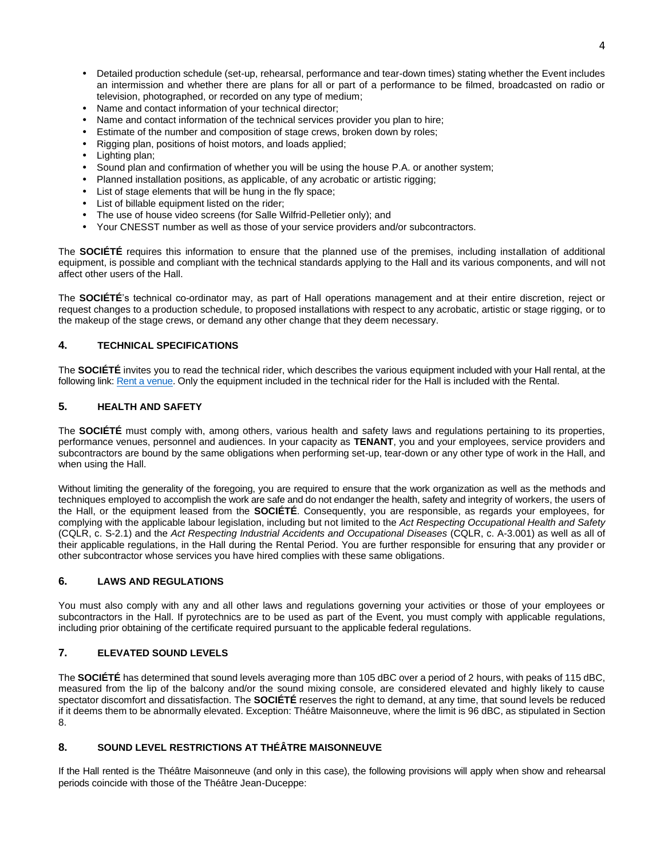- Detailed production schedule (set-up, rehearsal, performance and tear-down times) stating whether the Event includes an intermission and whether there are plans for all or part of a performance to be filmed, broadcasted on radio or television, photographed, or recorded on any type of medium;
- Name and contact information of your technical director;
- Name and contact information of the technical services provider you plan to hire;
- Estimate of the number and composition of stage crews, broken down by roles;
- Rigging plan, positions of hoist motors, and loads applied;
- Lighting plan;
- Sound plan and confirmation of whether you will be using the house P.A. or another system;
- Planned installation positions, as applicable, of any acrobatic or artistic rigging;
- List of stage elements that will be hung in the fly space;
- List of billable equipment listed on the rider;
- The use of house video screens (for Salle Wilfrid-Pelletier only); and
- Your CNESST number as well as those of your service providers and/or subcontractors.

The **SOCIÉTÉ** requires this information to ensure that the planned use of the premises, including installation of additional equipment, is possible and compliant with the technical standards applying to the Hall and its various components, and will not affect other users of the Hall.

The **SOCIÉTÉ**'s technical co-ordinator may, as part of Hall operations management and at their entire discretion, reject or request changes to a production schedule, to proposed installations with respect to any acrobatic, artistic or stage rigging, or to the makeup of the stage crews, or demand any other change that they deem necessary.

## **4. TECHNICAL SPECIFICATIONS**

The **SOCIÉTÉ** invites you to read the technical rider, which describes the various equipment included with your Hall rental, at the following link[: Rent a venue.](https://placedesarts.com/en/produce-event/rent-venue) Only the equipment included in the technical rider for the Hall is included with the Rental.

## **5. HEALTH AND SAFETY**

The **SOCIÉTÉ** must comply with, among others, various health and safety laws and regulations pertaining to its properties, performance venues, personnel and audiences. In your capacity as **TENANT**, you and your employees, service providers and subcontractors are bound by the same obligations when performing set-up, tear-down or any other type of work in the Hall, and when using the Hall.

Without limiting the generality of the foregoing, you are required to ensure that the work organization as well as the methods and techniques employed to accomplish the work are safe and do not endanger the health, safety and integrity of workers, the users of the Hall, or the equipment leased from the **SOCIÉTÉ**. Consequently, you are responsible, as regards your employees, for complying with the applicable labour legislation, including but not limited to the *Act Respecting Occupational Health and Safety* (CQLR, c. S-2.1) and the *Act Respecting Industrial Accidents and Occupational Diseases* (CQLR, c. A-3.001) as well as all of their applicable regulations, in the Hall during the Rental Period. You are further responsible for ensuring that any provider or other subcontractor whose services you have hired complies with these same obligations.

#### **6. LAWS AND REGULATIONS**

You must also comply with any and all other laws and regulations governing your activities or those of your employees or subcontractors in the Hall. If pyrotechnics are to be used as part of the Event, you must comply with applicable regulations, including prior obtaining of the certificate required pursuant to the applicable federal regulations.

## **7. ELEVATED SOUND LEVELS**

The **SOCIÉTÉ** has determined that sound levels averaging more than 105 dBC over a period of 2 hours, with peaks of 115 dBC, measured from the lip of the balcony and/or the sound mixing console, are considered elevated and highly likely to cause spectator discomfort and dissatisfaction. The **SOCIÉTÉ** reserves the right to demand, at any time, that sound levels be reduced if it deems them to be abnormally elevated. Exception: Théâtre Maisonneuve, where the limit is 96 dBC, as stipulated in Section 8.

## **8. SOUND LEVEL RESTRICTIONS AT THÉÂTRE MAISONNEUVE**

If the Hall rented is the Théâtre Maisonneuve (and only in this case), the following provisions will apply when show and rehearsal periods coincide with those of the Théâtre Jean-Duceppe: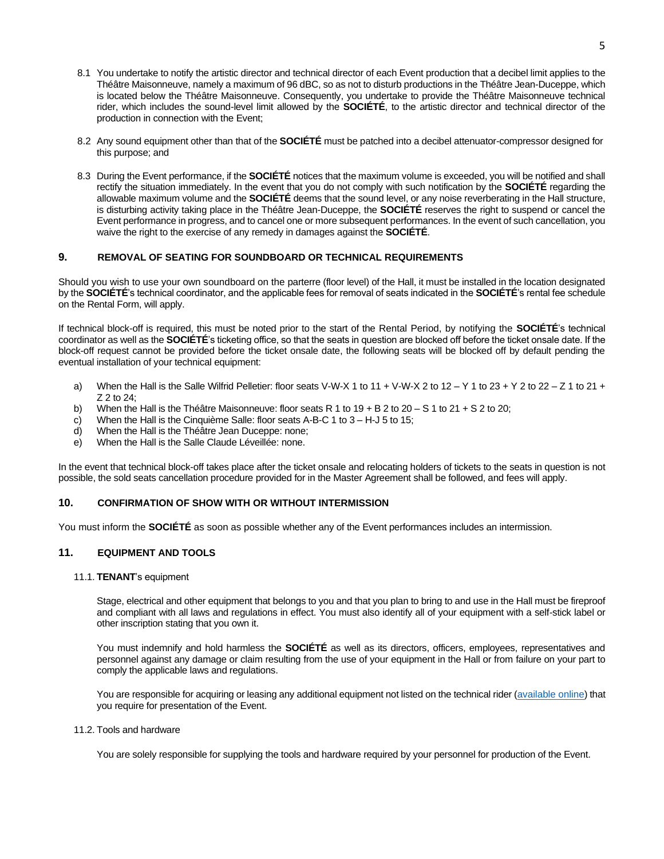- 8.1 You undertake to notify the artistic director and technical director of each Event production that a decibel limit applies to the Théâtre Maisonneuve, namely a maximum of 96 dBC, so as not to disturb productions in the Théâtre Jean-Duceppe, which is located below the Théâtre Maisonneuve. Consequently, you undertake to provide the Théâtre Maisonneuve technical rider, which includes the sound-level limit allowed by the **SOCIÉTÉ**, to the artistic director and technical director of the production in connection with the Event;
- 8.2 Any sound equipment other than that of the **SOCIÉTÉ** must be patched into a decibel attenuator-compressor designed for this purpose; and
- 8.3 During the Event performance, if the **SOCIÉTÉ** notices that the maximum volume is exceeded, you will be notified and shall rectify the situation immediately. In the event that you do not comply with such notification by the **SOCIÉTÉ** regarding the allowable maximum volume and the **SOCIÉTÉ** deems that the sound level, or any noise reverberating in the Hall structure, is disturbing activity taking place in the Théâtre Jean-Duceppe, the **SOCIÉTÉ** reserves the right to suspend or cancel the Event performance in progress, and to cancel one or more subsequent performances. In the event of such cancellation, you waive the right to the exercise of any remedy in damages against the **SOCIÉTÉ**.

## **9. REMOVAL OF SEATING FOR SOUNDBOARD OR TECHNICAL REQUIREMENTS**

Should you wish to use your own soundboard on the parterre (floor level) of the Hall, it must be installed in the location designated by the **SOCIÉTÉ**'s technical coordinator, and the applicable fees for removal of seats indicated in the **SOCIÉTÉ**'s rental fee schedule on the Rental Form, will apply.

If technical block-off is required, this must be noted prior to the start of the Rental Period, by notifying the **SOCIÉTÉ**'s technical coordinator as well as the **SOCIÉTÉ**'s ticketing office, so that the seats in question are blocked off before the ticket onsale date. If the block-off request cannot be provided before the ticket onsale date, the following seats will be blocked off by default pending the eventual installation of your technical equipment:

- a) When the Hall is the Salle Wilfrid Pelletier: floor seats V-W-X 1 to 11 + V-W-X 2 to 12 Y 1 to 23 + Y 2 to 22 Z 1 to 21 + Z 2 to 24;
- b) When the Hall is the Théâtre Maisonneuve: floor seats R 1 to 19 + B 2 to 20 S 1 to 21 + S 2 to 20;
- c) When the Hall is the Cinquième Salle: floor seats A-B-C 1 to 3 H-J 5 to 15;
- d) When the Hall is the Théâtre Jean Duceppe: none;
- e) When the Hall is the Salle Claude Léveillée: none.

In the event that technical block-off takes place after the ticket onsale and relocating holders of tickets to the seats in question is not possible, the sold seats cancellation procedure provided for in the Master Agreement shall be followed, and fees will apply.

#### **10. CONFIRMATION OF SHOW WITH OR WITHOUT INTERMISSION**

You must inform the **SOCIÉTÉ** as soon as possible whether any of the Event performances includes an intermission.

#### **11. EQUIPMENT AND TOOLS**

11.1. **TENANT**'s equipment

Stage, electrical and other equipment that belongs to you and that you plan to bring to and use in the Hall must be fireproof and compliant with all laws and regulations in effect. You must also identify all of your equipment with a self-stick label or other inscription stating that you own it.

You must indemnify and hold harmless the **SOCIÉTÉ** as well as its directors, officers, employees, representatives and personnel against any damage or claim resulting from the use of your equipment in the Hall or from failure on your part to comply the applicable laws and regulations.

You are responsible for acquiring or leasing any additional equipment not listed on the technical rider [\(available online\)](https://placedesarts.com/en/produce-event) that you require for presentation of the Event.

#### 11.2. Tools and hardware

You are solely responsible for supplying the tools and hardware required by your personnel for production of the Event.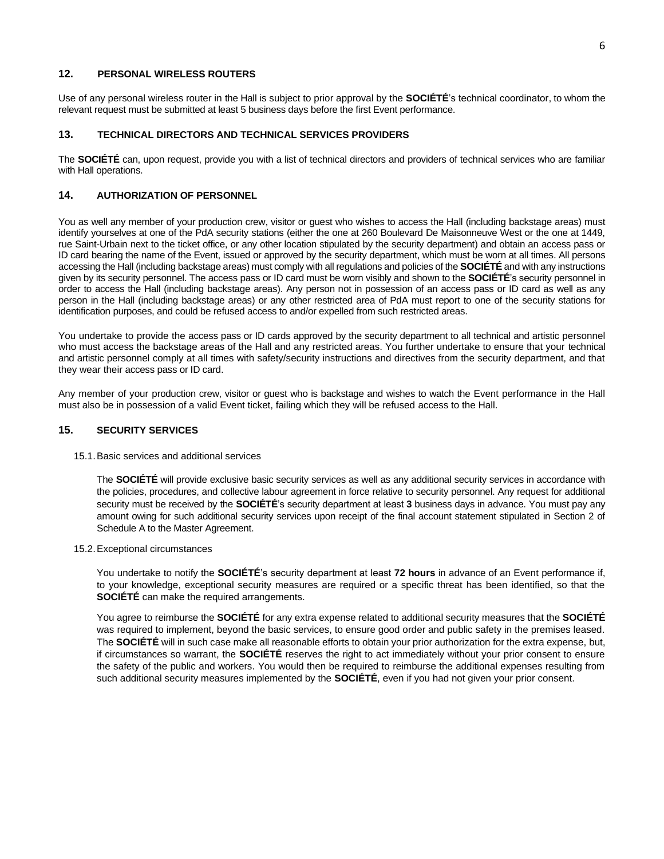## **12. PERSONAL WIRELESS ROUTERS**

Use of any personal wireless router in the Hall is subject to prior approval by the **SOCIÉTÉ**'s technical coordinator, to whom the relevant request must be submitted at least 5 business days before the first Event performance.

#### **13. TECHNICAL DIRECTORS AND TECHNICAL SERVICES PROVIDERS**

The **SOCIÉTÉ** can, upon request, provide you with a list of technical directors and providers of technical services who are familiar with Hall operations.

### **14. AUTHORIZATION OF PERSONNEL**

You as well any member of your production crew, visitor or guest who wishes to access the Hall (including backstage areas) must identify yourselves at one of the PdA security stations (either the one at 260 Boulevard De Maisonneuve West or the one at 1449, rue Saint-Urbain next to the ticket office, or any other location stipulated by the security department) and obtain an access pass or ID card bearing the name of the Event, issued or approved by the security department, which must be worn at all times. All persons accessing the Hall (including backstage areas) must comply with all regulations and policies of the **SOCIÉTÉ** and with any instructions given by its security personnel. The access pass or ID card must be worn visibly and shown to the **SOCIÉTÉ**'s security personnel in order to access the Hall (including backstage areas). Any person not in possession of an access pass or ID card as well as any person in the Hall (including backstage areas) or any other restricted area of PdA must report to one of the security stations for identification purposes, and could be refused access to and/or expelled from such restricted areas.

You undertake to provide the access pass or ID cards approved by the security department to all technical and artistic personnel who must access the backstage areas of the Hall and any restricted areas. You further undertake to ensure that your technical and artistic personnel comply at all times with safety/security instructions and directives from the security department, and that they wear their access pass or ID card.

Any member of your production crew, visitor or guest who is backstage and wishes to watch the Event performance in the Hall must also be in possession of a valid Event ticket, failing which they will be refused access to the Hall.

#### **15. SECURITY SERVICES**

15.1.Basic services and additional services

The **SOCIÉTÉ** will provide exclusive basic security services as well as any additional security services in accordance with the policies, procedures, and collective labour agreement in force relative to security personnel. Any request for additional security must be received by the **SOCIÉTÉ**'s security department at least **3** business days in advance. You must pay any amount owing for such additional security services upon receipt of the final account statement stipulated in Section 2 of Schedule A to the Master Agreement.

#### 15.2.Exceptional circumstances

You undertake to notify the **SOCIÉTÉ**'s security department at least **72 hours** in advance of an Event performance if, to your knowledge, exceptional security measures are required or a specific threat has been identified, so that the **SOCIÉTÉ** can make the required arrangements.

You agree to reimburse the **SOCIÉTÉ** for any extra expense related to additional security measures that the **SOCIÉTÉ** was required to implement, beyond the basic services, to ensure good order and public safety in the premises leased. The **SOCIÉTÉ** will in such case make all reasonable efforts to obtain your prior authorization for the extra expense, but, if circumstances so warrant, the **SOCIÉTÉ** reserves the right to act immediately without your prior consent to ensure the safety of the public and workers. You would then be required to reimburse the additional expenses resulting from such additional security measures implemented by the **SOCIÉTÉ**, even if you had not given your prior consent.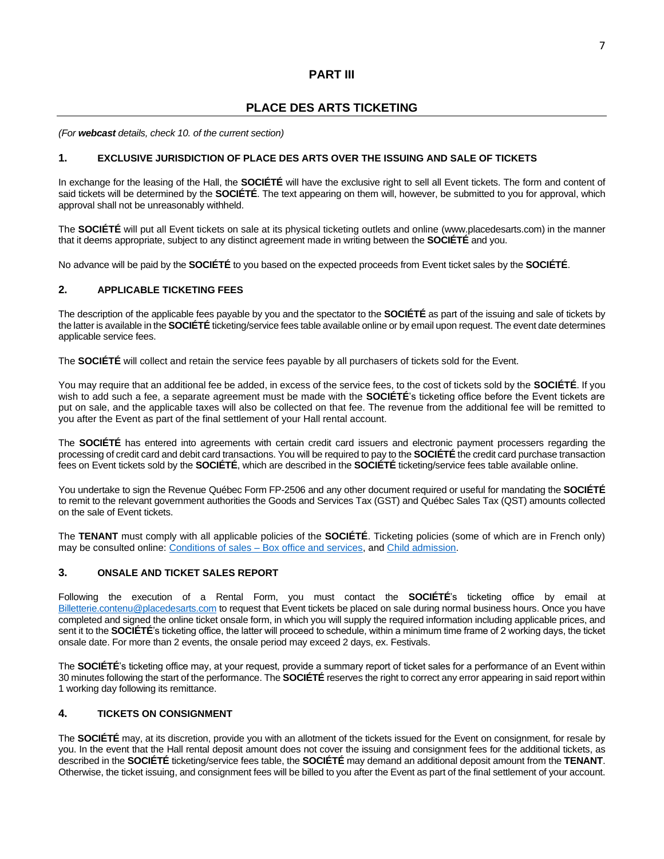# **PART III**

# **PLACE DES ARTS TICKETING**

*(For webcast details, check 10. of the current section)*

## **1. EXCLUSIVE JURISDICTION OF PLACE DES ARTS OVER THE ISSUING AND SALE OF TICKETS**

In exchange for the leasing of the Hall, the **SOCIÉTÉ** will have the exclusive right to sell all Event tickets. The form and content of said tickets will be determined by the **SOCIÉTÉ**. The text appearing on them will, however, be submitted to you for approval, which approval shall not be unreasonably withheld.

The **SOCIÉTÉ** will put all Event tickets on sale at its physical ticketing outlets and online (www.placedesarts.com) in the manner that it deems appropriate, subject to any distinct agreement made in writing between the **SOCIÉTÉ** and you.

No advance will be paid by the **SOCIÉTÉ** to you based on the expected proceeds from Event ticket sales by the **SOCIÉTÉ**.

## **2. APPLICABLE TICKETING FEES**

The description of the applicable fees payable by you and the spectator to the **SOCIÉTÉ** as part of the issuing and sale of tickets by the latter is available in the **SOCIÉTÉ** ticketing/service fees table available online or by email upon request. The event date determines applicable service fees.

The **SOCIÉTÉ** will collect and retain the service fees payable by all purchasers of tickets sold for the Event.

You may require that an additional fee be added, in excess of the service fees, to the cost of tickets sold by the **SOCIÉTÉ**. If you wish to add such a fee, a separate agreement must be made with the **SOCIÉTÉ**'s ticketing office before the Event tickets are put on sale, and the applicable taxes will also be collected on that fee. The revenue from the additional fee will be remitted to you after the Event as part of the final settlement of your Hall rental account.

The **SOCIÉTÉ** has entered into agreements with certain credit card issuers and electronic payment processers regarding the processing of credit card and debit card transactions. You will be required to pay to the **SOCIÉTÉ** the credit card purchase transaction fees on Event tickets sold by the **SOCIÉTÉ**, which are described in the **SOCIÉTÉ** ticketing/service fees table available online.

You undertake to sign the Revenue Québec Form FP-2506 and any other document required or useful for mandating the **SOCIÉTÉ** to remit to the relevant government authorities the Goods and Services Tax (GST) and Québec Sales Tax (QST) amounts collected on the sale of Event tickets.

The **TENANT** must comply with all applicable policies of the **SOCIÉTÉ**. Ticketing policies (some of which are in French only) may be consulted online: Conditions of sales – [Box office and services,](https://placedesarts.com/en/making-transaction/conditions-sale-%C2%A0box-office-and-services) and [Child admission.](https://placedesarts.com/en/making-transaction/child-admission)

### **3. ONSALE AND TICKET SALES REPORT**

Following the execution of a Rental Form, you must contact the **SOCIÉTÉ**'s ticketing office by email at [Billetterie.contenu@placedesarts.com](mailto:Billetterie.contenu@placedesarts.com) to request that Event tickets be placed on sale during normal business hours. Once you have completed and signed the online ticket onsale form, in which you will supply the required information including applicable prices, and sent it to the **SOCIÉTÉ**'s ticketing office, the latter will proceed to schedule, within a minimum time frame of 2 working days, the ticket onsale date. For more than 2 events, the onsale period may exceed 2 days, ex. Festivals.

The **SOCIÉTÉ**'s ticketing office may, at your request, provide a summary report of ticket sales for a performance of an Event within 30 minutes following the start of the performance. The **SOCIÉTÉ** reserves the right to correct any error appearing in said report within 1 working day following its remittance.

## **4. TICKETS ON CONSIGNMENT**

The **SOCIÉTÉ** may, at its discretion, provide you with an allotment of the tickets issued for the Event on consignment, for resale by you. In the event that the Hall rental deposit amount does not cover the issuing and consignment fees for the additional tickets, as described in the **SOCIÉTÉ** ticketing/service fees table, the **SOCIÉTÉ** may demand an additional deposit amount from the **TENANT**. Otherwise, the ticket issuing, and consignment fees will be billed to you after the Event as part of the final settlement of your account.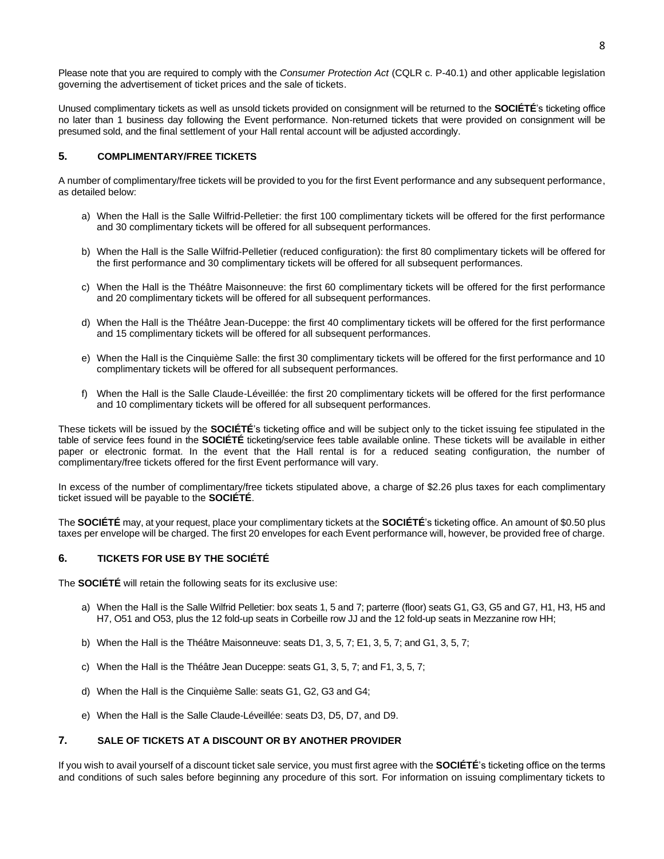Unused complimentary tickets as well as unsold tickets provided on consignment will be returned to the **SOCIÉTÉ**'s ticketing office no later than 1 business day following the Event performance. Non-returned tickets that were provided on consignment will be presumed sold, and the final settlement of your Hall rental account will be adjusted accordingly.

## **5. COMPLIMENTARY/FREE TICKETS**

A number of complimentary/free tickets will be provided to you for the first Event performance and any subsequent performance, as detailed below:

- a) When the Hall is the Salle Wilfrid-Pelletier: the first 100 complimentary tickets will be offered for the first performance and 30 complimentary tickets will be offered for all subsequent performances.
- b) When the Hall is the Salle Wilfrid-Pelletier (reduced configuration): the first 80 complimentary tickets will be offered for the first performance and 30 complimentary tickets will be offered for all subsequent performances.
- c) When the Hall is the Théâtre Maisonneuve: the first 60 complimentary tickets will be offered for the first performance and 20 complimentary tickets will be offered for all subsequent performances.
- d) When the Hall is the Théâtre Jean-Duceppe: the first 40 complimentary tickets will be offered for the first performance and 15 complimentary tickets will be offered for all subsequent performances.
- e) When the Hall is the Cinquième Salle: the first 30 complimentary tickets will be offered for the first performance and 10 complimentary tickets will be offered for all subsequent performances.
- f) When the Hall is the Salle Claude-Léveillée: the first 20 complimentary tickets will be offered for the first performance and 10 complimentary tickets will be offered for all subsequent performances.

These tickets will be issued by the **SOCIÉTÉ**'s ticketing office and will be subject only to the ticket issuing fee stipulated in the table of service fees found in the **SOCIÉTÉ** ticketing/service fees table available online. These tickets will be available in either paper or electronic format. In the event that the Hall rental is for a reduced seating configuration, the number of complimentary/free tickets offered for the first Event performance will vary.

In excess of the number of complimentary/free tickets stipulated above, a charge of \$2.26 plus taxes for each complimentary ticket issued will be payable to the **SOCIÉTÉ**.

The **SOCIÉTÉ** may, at your request, place your complimentary tickets at the **SOCIÉTÉ**'s ticketing office. An amount of \$0.50 plus taxes per envelope will be charged. The first 20 envelopes for each Event performance will, however, be provided free of charge.

#### **6. TICKETS FOR USE BY THE SOCIÉTÉ**

The **SOCIÉTÉ** will retain the following seats for its exclusive use:

- a) When the Hall is the Salle Wilfrid Pelletier: box seats 1, 5 and 7; parterre (floor) seats G1, G3, G5 and G7, H1, H3, H5 and H7, O51 and O53, plus the 12 fold-up seats in Corbeille row JJ and the 12 fold-up seats in Mezzanine row HH;
- b) When the Hall is the Théâtre Maisonneuve: seats D1, 3, 5, 7; E1, 3, 5, 7; and G1, 3, 5, 7;
- c) When the Hall is the Théâtre Jean Duceppe: seats G1, 3, 5, 7; and F1, 3, 5, 7;
- d) When the Hall is the Cinquième Salle: seats G1, G2, G3 and G4;
- e) When the Hall is the Salle Claude-Léveillée: seats D3, D5, D7, and D9.

## **7. SALE OF TICKETS AT A DISCOUNT OR BY ANOTHER PROVIDER**

If you wish to avail yourself of a discount ticket sale service, you must first agree with the **SOCIÉTÉ**'s ticketing office on the terms and conditions of such sales before beginning any procedure of this sort. For information on issuing complimentary tickets to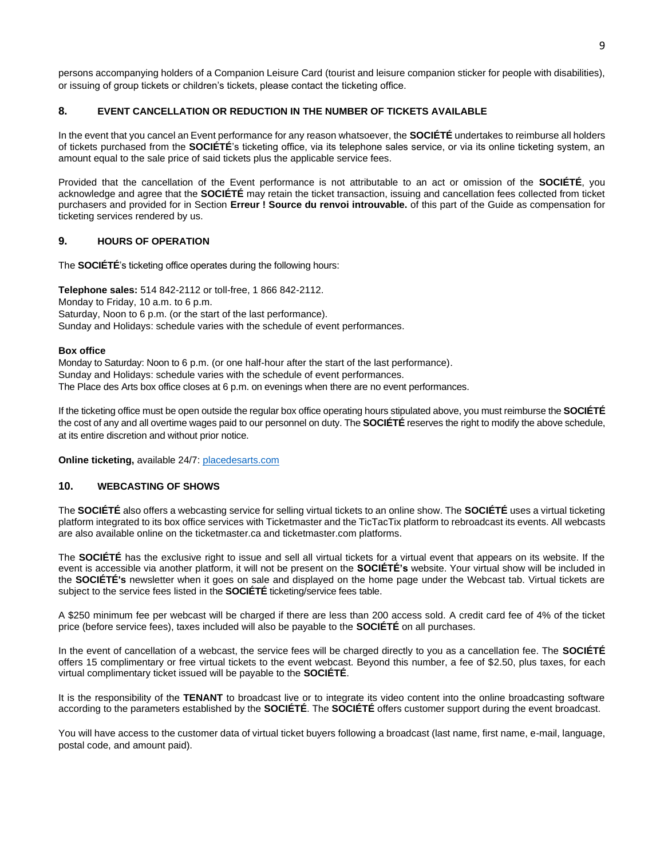persons accompanying holders of a Companion Leisure Card (tourist and leisure companion sticker for people with disabilities), or issuing of group tickets or children's tickets, please contact the ticketing office.

## **8. EVENT CANCELLATION OR REDUCTION IN THE NUMBER OF TICKETS AVAILABLE**

In the event that you cancel an Event performance for any reason whatsoever, the **SOCIÉTÉ** undertakes to reimburse all holders of tickets purchased from the **SOCIÉTÉ**'s ticketing office, via its telephone sales service, or via its online ticketing system, an amount equal to the sale price of said tickets plus the applicable service fees.

Provided that the cancellation of the Event performance is not attributable to an act or omission of the **SOCIÉTÉ**, you acknowledge and agree that the **SOCIÉTÉ** may retain the ticket transaction, issuing and cancellation fees collected from ticket purchasers and provided for in Section **Erreur ! Source du renvoi introuvable.** of this part of the Guide as compensation for ticketing services rendered by us.

## **9. HOURS OF OPERATION**

The **SOCIÉTÉ**'s ticketing office operates during the following hours:

**Telephone sales:** 514 842-2112 or toll-free, 1 866 842-2112. Monday to Friday, 10 a.m. to 6 p.m. Saturday, Noon to 6 p.m. (or the start of the last performance). Sunday and Holidays: schedule varies with the schedule of event performances.

#### **Box office**

Monday to Saturday: Noon to 6 p.m. (or one half-hour after the start of the last performance). Sunday and Holidays: schedule varies with the schedule of event performances. The Place des Arts box office closes at 6 p.m. on evenings when there are no event performances.

If the ticketing office must be open outside the regular box office operating hours stipulated above, you must reimburse the **SOCIÉTÉ** the cost of any and all overtime wages paid to our personnel on duty. The **SOCIÉTÉ** reserves the right to modify the above schedule, at its entire discretion and without prior notice.

**Online ticketing,** available 24/7: [placedesarts.com](http://www.placedesarts.com/)

## **10. WEBCASTING OF SHOWS**

The **SOCIÉTÉ** also offers a webcasting service for selling virtual tickets to an online show. The **SOCIÉTÉ** uses a virtual ticketing platform integrated to its box office services with Ticketmaster and the TicTacTix platform to rebroadcast its events. All webcasts are also available online on the ticketmaster.ca and ticketmaster.com platforms.

The **SOCIÉTÉ** has the exclusive right to issue and sell all virtual tickets for a virtual event that appears on its website. If the event is accessible via another platform, it will not be present on the **SOCIÉTÉ's** website. Your virtual show will be included in the **SOCIÉTÉ's** newsletter when it goes on sale and displayed on the home page under the Webcast tab. Virtual tickets are subject to the service fees listed in the **SOCIÉTÉ** ticketing/service fees table.

A \$250 minimum fee per webcast will be charged if there are less than 200 access sold. A credit card fee of 4% of the ticket price (before service fees), taxes included will also be payable to the **SOCIÉTÉ** on all purchases.

In the event of cancellation of a webcast, the service fees will be charged directly to you as a cancellation fee. The **SOCIÉTÉ** offers 15 complimentary or free virtual tickets to the event webcast. Beyond this number, a fee of \$2.50, plus taxes, for each virtual complimentary ticket issued will be payable to the **SOCIÉTÉ**.

It is the responsibility of the **TENANT** to broadcast live or to integrate its video content into the online broadcasting software according to the parameters established by the **SOCIÉTÉ**. The **SOCIÉTÉ** offers customer support during the event broadcast.

You will have access to the customer data of virtual ticket buyers following a broadcast (last name, first name, e-mail, language, postal code, and amount paid).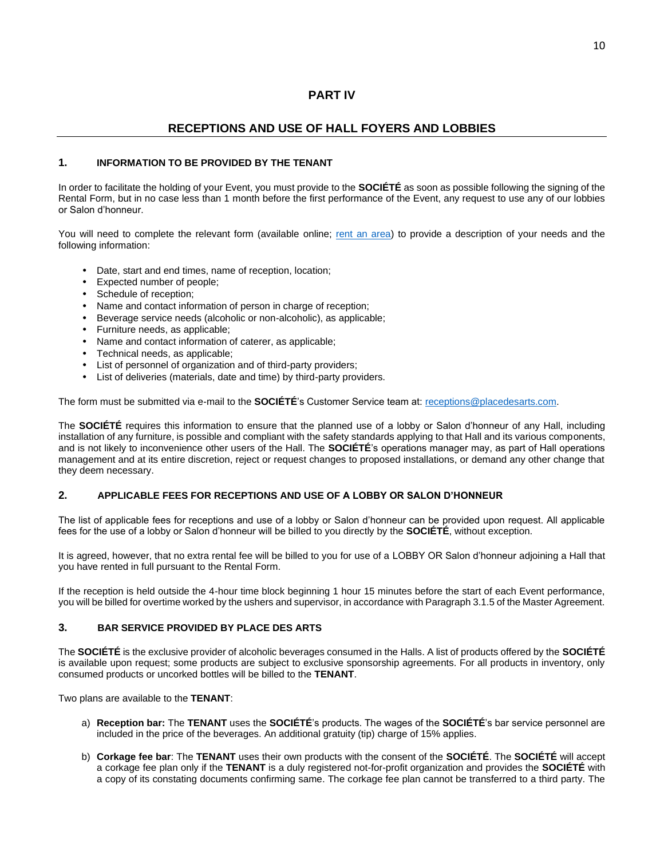## **PART IV**

# **RECEPTIONS AND USE OF HALL FOYERS AND LOBBIES**

## **1. INFORMATION TO BE PROVIDED BY THE TENANT**

In order to facilitate the holding of your Event, you must provide to the **SOCIÉTÉ** as soon as possible following the signing of the Rental Form, but in no case less than 1 month before the first performance of the Event, any request to use any of our lobbies or Salon d'honneur.

You will need to complete the relevant form (available online; [rent an area\)](https://placedesarts.com/en/produce-event/rent-area) to provide a description of your needs and the following information:

- Date, start and end times, name of reception, location;
- Expected number of people;
- Schedule of reception;
- Name and contact information of person in charge of reception;
- Beverage service needs (alcoholic or non-alcoholic), as applicable;
- Furniture needs, as applicable;
- Name and contact information of caterer, as applicable;
- Technical needs, as applicable;
- List of personnel of organization and of third-party providers;
- List of deliveries (materials, date and time) by third-party providers.

The form must be submitted via e-mail to the **SOCIÉTÉ**'s Customer Service team at: [receptions@placedesarts.com.](mailto:receptions@placedesarts.com)

The **SOCIÉTÉ** requires this information to ensure that the planned use of a lobby or Salon d'honneur of any Hall, including installation of any furniture, is possible and compliant with the safety standards applying to that Hall and its various components, and is not likely to inconvenience other users of the Hall. The **SOCIÉTÉ**'s operations manager may, as part of Hall operations management and at its entire discretion, reject or request changes to proposed installations, or demand any other change that they deem necessary.

## **2. APPLICABLE FEES FOR RECEPTIONS AND USE OF A LOBBY OR SALON D'HONNEUR**

The list of applicable fees for receptions and use of a lobby or Salon d'honneur can be provided upon request. All applicable fees for the use of a lobby or Salon d'honneur will be billed to you directly by the **SOCIÉTÉ**, without exception.

It is agreed, however, that no extra rental fee will be billed to you for use of a LOBBY OR Salon d'honneur adjoining a Hall that you have rented in full pursuant to the Rental Form.

If the reception is held outside the 4-hour time block beginning 1 hour 15 minutes before the start of each Event performance, you will be billed for overtime worked by the ushers and supervisor, in accordance with Paragraph 3.1.5 of the Master Agreement.

## **3. BAR SERVICE PROVIDED BY PLACE DES ARTS**

The **SOCIÉTÉ** is the exclusive provider of alcoholic beverages consumed in the Halls. A list of products offered by the **SOCIÉTÉ** is available upon request; some products are subject to exclusive sponsorship agreements. For all products in inventory, only consumed products or uncorked bottles will be billed to the **TENANT**.

Two plans are available to the **TENANT**:

- a) **Reception bar:** The **TENANT** uses the **SOCIÉTÉ**'s products. The wages of the **SOCIÉTÉ**'s bar service personnel are included in the price of the beverages. An additional gratuity (tip) charge of 15% applies.
- b) **Corkage fee bar**: The **TENANT** uses their own products with the consent of the **SOCIÉTÉ**. The **SOCIÉTÉ** will accept a corkage fee plan only if the **TENANT** is a duly registered not-for-profit organization and provides the **SOCIÉTÉ** with a copy of its constating documents confirming same. The corkage fee plan cannot be transferred to a third party. The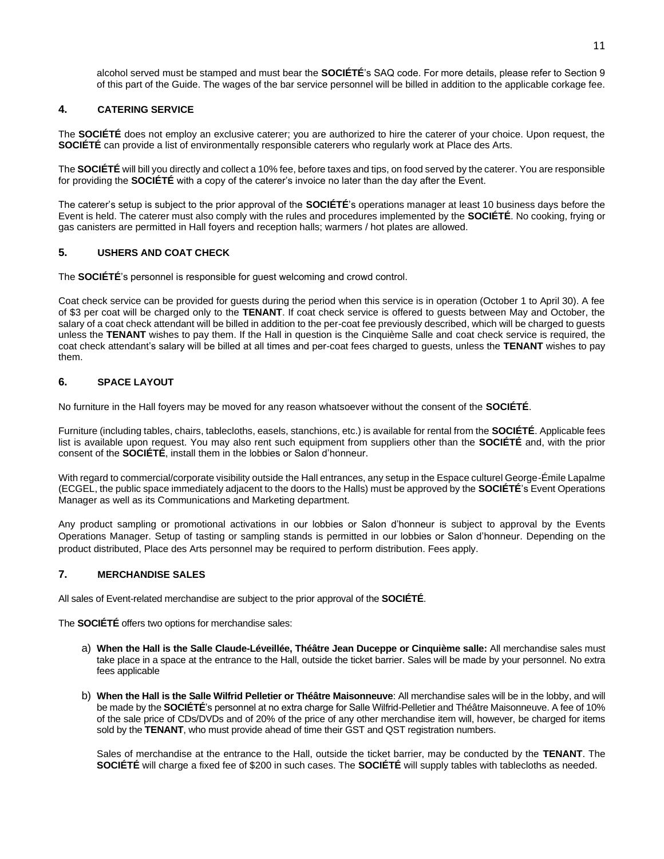alcohol served must be stamped and must bear the **SOCIÉTÉ**'s SAQ code. For more details, please refer to Section 9 of this part of the Guide. The wages of the bar service personnel will be billed in addition to the applicable corkage fee.

## **4. CATERING SERVICE**

The **SOCIÉTÉ** does not employ an exclusive caterer; you are authorized to hire the caterer of your choice. Upon request, the **SOCIÉTÉ** can provide a list of environmentally responsible caterers who regularly work at Place des Arts.

The **SOCIÉTÉ** will bill you directly and collect a 10% fee, before taxes and tips, on food served by the caterer. You are responsible for providing the **SOCIÉTÉ** with a copy of the caterer's invoice no later than the day after the Event.

The caterer's setup is subject to the prior approval of the **SOCIÉTÉ**'s operations manager at least 10 business days before the Event is held. The caterer must also comply with the rules and procedures implemented by the **SOCIÉTÉ**. No cooking, frying or gas canisters are permitted in Hall foyers and reception halls; warmers / hot plates are allowed.

## **5. USHERS AND COAT CHECK**

The **SOCIÉTÉ**'s personnel is responsible for guest welcoming and crowd control.

Coat check service can be provided for guests during the period when this service is in operation (October 1 to April 30). A fee of \$3 per coat will be charged only to the **TENANT**. If coat check service is offered to guests between May and October, the salary of a coat check attendant will be billed in addition to the per-coat fee previously described, which will be charged to guests unless the **TENANT** wishes to pay them. If the Hall in question is the Cinquième Salle and coat check service is required, the coat check attendant's salary will be billed at all times and per-coat fees charged to guests, unless the **TENANT** wishes to pay them.

## **6. SPACE LAYOUT**

No furniture in the Hall foyers may be moved for any reason whatsoever without the consent of the **SOCIÉTÉ**.

Furniture (including tables, chairs, tablecloths, easels, stanchions, etc.) is available for rental from the **SOCIÉTÉ**. Applicable fees list is available upon request. You may also rent such equipment from suppliers other than the **SOCIÉTÉ** and, with the prior consent of the **SOCIÉTÉ**, install them in the lobbies or Salon d'honneur.

With regard to commercial/corporate visibility outside the Hall entrances, any setup in the Espace culturel George-Émile Lapalme (ECGEL, the public space immediately adjacent to the doors to the Halls) must be approved by the **SOCIÉTÉ**'s Event Operations Manager as well as its Communications and Marketing department.

Any product sampling or promotional activations in our lobbies or Salon d'honneur is subject to approval by the Events Operations Manager. Setup of tasting or sampling stands is permitted in our lobbies or Salon d'honneur. Depending on the product distributed, Place des Arts personnel may be required to perform distribution. Fees apply.

### **7. MERCHANDISE SALES**

All sales of Event-related merchandise are subject to the prior approval of the **SOCIÉTÉ**.

The **SOCIÉTÉ** offers two options for merchandise sales:

- a) **When the Hall is the Salle Claude-Léveillée, Théâtre Jean Duceppe or Cinquième salle:** All merchandise sales must take place in a space at the entrance to the Hall, outside the ticket barrier. Sales will be made by your personnel. No extra fees applicable
- b) **When the Hall is the Salle Wilfrid Pelletier or Théâtre Maisonneuve**: All merchandise sales will be in the lobby, and will be made by the **SOCIÉTÉ**'s personnel at no extra charge for Salle Wilfrid-Pelletier and Théâtre Maisonneuve. A fee of 10% of the sale price of CDs/DVDs and of 20% of the price of any other merchandise item will, however, be charged for items sold by the **TENANT**, who must provide ahead of time their GST and QST registration numbers.

Sales of merchandise at the entrance to the Hall, outside the ticket barrier, may be conducted by the **TENANT**. The **SOCIÉTÉ** will charge a fixed fee of \$200 in such cases. The **SOCIÉTÉ** will supply tables with tablecloths as needed.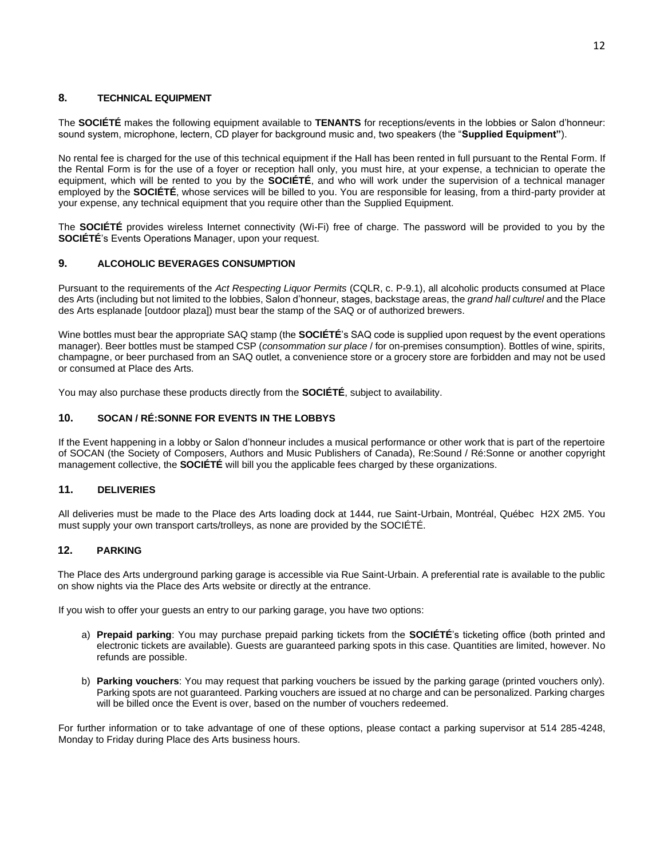## **8. TECHNICAL EQUIPMENT**

The **SOCIÉTÉ** makes the following equipment available to **TENANTS** for receptions/events in the lobbies or Salon d'honneur: sound system, microphone, lectern, CD player for background music and, two speakers (the "**Supplied Equipment"**).

No rental fee is charged for the use of this technical equipment if the Hall has been rented in full pursuant to the Rental Form. If the Rental Form is for the use of a foyer or reception hall only, you must hire, at your expense, a technician to operate the equipment, which will be rented to you by the **SOCIÉTÉ**, and who will work under the supervision of a technical manager employed by the **SOCIÉTÉ**, whose services will be billed to you. You are responsible for leasing, from a third-party provider at your expense, any technical equipment that you require other than the Supplied Equipment.

The **SOCIÉTÉ** provides wireless Internet connectivity (Wi-Fi) free of charge. The password will be provided to you by the **SOCIÉTÉ**'s Events Operations Manager, upon your request.

## **9. ALCOHOLIC BEVERAGES CONSUMPTION**

Pursuant to the requirements of the *Act Respecting Liquor Permits* (CQLR, c. P-9.1), all alcoholic products consumed at Place des Arts (including but not limited to the lobbies, Salon d'honneur, stages, backstage areas, the *grand hall culturel* and the Place des Arts esplanade [outdoor plaza]) must bear the stamp of the SAQ or of authorized brewers.

Wine bottles must bear the appropriate SAQ stamp (the **SOCIÉTÉ**'s SAQ code is supplied upon request by the event operations manager). Beer bottles must be stamped CSP (*consommation sur place* / for on-premises consumption). Bottles of wine, spirits, champagne, or beer purchased from an SAQ outlet, a convenience store or a grocery store are forbidden and may not be used or consumed at Place des Arts.

You may also purchase these products directly from the **SOCIÉTÉ**, subject to availability.

## **10. SOCAN / RÉ:SONNE FOR EVENTS IN THE LOBBYS**

If the Event happening in a lobby or Salon d'honneur includes a musical performance or other work that is part of the repertoire of SOCAN (the Society of Composers, Authors and Music Publishers of Canada), Re:Sound / Ré:Sonne or another copyright management collective, the **SOCIÉTÉ** will bill you the applicable fees charged by these organizations.

#### **11. DELIVERIES**

All deliveries must be made to the Place des Arts loading dock at 1444, rue Saint-Urbain, Montréal, Québec H2X 2M5. You must supply your own transport carts/trolleys, as none are provided by the SOCIÉTÉ.

## **12. PARKING**

The Place des Arts underground parking garage is accessible via Rue Saint-Urbain. A preferential rate is available to the public on show nights via the Place des Arts website or directly at the entrance.

If you wish to offer your guests an entry to our parking garage, you have two options:

- a) **Prepaid parking**: You may purchase prepaid parking tickets from the **SOCIÉTÉ**'s ticketing office (both printed and electronic tickets are available). Guests are guaranteed parking spots in this case. Quantities are limited, however. No refunds are possible.
- b) **Parking vouchers**: You may request that parking vouchers be issued by the parking garage (printed vouchers only). Parking spots are not guaranteed. Parking vouchers are issued at no charge and can be personalized. Parking charges will be billed once the Event is over, based on the number of vouchers redeemed.

For further information or to take advantage of one of these options, please contact a parking supervisor at 514 285-4248, Monday to Friday during Place des Arts business hours.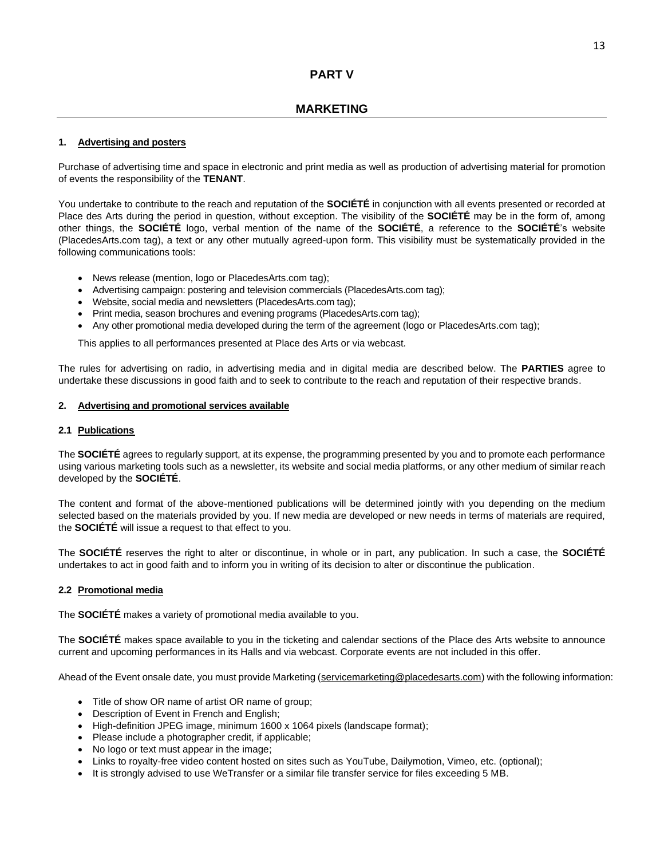# **MARKETING**

## **1. Advertising and posters**

Purchase of advertising time and space in electronic and print media as well as production of advertising material for promotion of events the responsibility of the **TENANT**.

You undertake to contribute to the reach and reputation of the **SOCIÉTÉ** in conjunction with all events presented or recorded at Place des Arts during the period in question, without exception. The visibility of the **SOCIÉTÉ** may be in the form of, among other things, the **SOCIÉTÉ** logo, verbal mention of the name of the **SOCIÉTÉ**, a reference to the **SOCIÉTÉ**'s website (PlacedesArts.com tag), a text or any other mutually agreed-upon form. This visibility must be systematically provided in the following communications tools:

- News release (mention, logo or PlacedesArts.com tag);
- Advertising campaign: postering and television commercials (PlacedesArts.com tag);
- Website, social media and newsletters (PlacedesArts.com tag);
- Print media, season brochures and evening programs (PlacedesArts.com tag);
- Any other promotional media developed during the term of the agreement (logo or PlacedesArts.com tag);

This applies to all performances presented at Place des Arts or via webcast.

The rules for advertising on radio, in advertising media and in digital media are described below. The **PARTIES** agree to undertake these discussions in good faith and to seek to contribute to the reach and reputation of their respective brands.

## **2. Advertising and promotional services available**

#### **2.1 Publications**

The **SOCIÉTÉ** agrees to regularly support, at its expense, the programming presented by you and to promote each performance using various marketing tools such as a newsletter, its website and social media platforms, or any other medium of similar reach developed by the **SOCIÉTÉ**.

The content and format of the above-mentioned publications will be determined jointly with you depending on the medium selected based on the materials provided by you. If new media are developed or new needs in terms of materials are required, the **SOCIÉTÉ** will issue a request to that effect to you.

The **SOCIÉTÉ** reserves the right to alter or discontinue, in whole or in part, any publication. In such a case, the **SOCIÉTÉ** undertakes to act in good faith and to inform you in writing of its decision to alter or discontinue the publication.

#### **2.2 Promotional media**

The **SOCIÉTÉ** makes a variety of promotional media available to you.

The **SOCIÉTÉ** makes space available to you in the ticketing and calendar sections of the Place des Arts website to announce current and upcoming performances in its Halls and via webcast. Corporate events are not included in this offer.

Ahead of the Event onsale date, you must provide Marketing [\(servicemarketing@placedesarts.com\)](mailto:servicemarketing@placedesarts.com) with the following information:

- Title of show OR name of artist OR name of group;
- Description of Event in French and English;
- High-definition JPEG image, minimum 1600 x 1064 pixels (landscape format);
- Please include a photographer credit, if applicable;
- No logo or text must appear in the image;
- Links to royalty-free video content hosted on sites such as YouTube, Dailymotion, Vimeo, etc. (optional);
- It is strongly advised to use WeTransfer or a similar file transfer service for files exceeding 5 MB.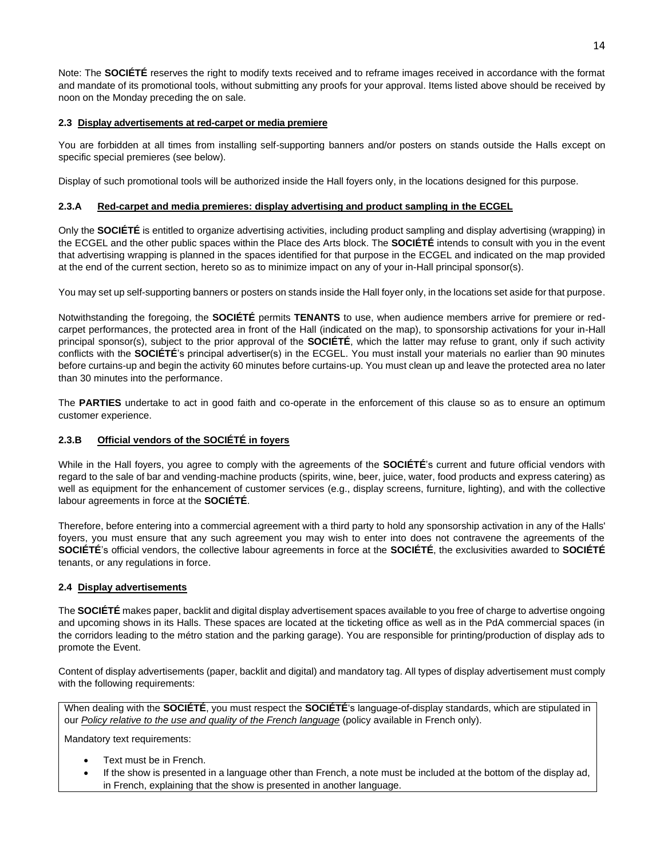Note: The **SOCIÉTÉ** reserves the right to modify texts received and to reframe images received in accordance with the format and mandate of its promotional tools, without submitting any proofs for your approval. Items listed above should be received by noon on the Monday preceding the on sale.

## **2.3 Display advertisements at red-carpet or media premiere**

You are forbidden at all times from installing self-supporting banners and/or posters on stands outside the Halls except on specific special premieres (see below).

Display of such promotional tools will be authorized inside the Hall foyers only, in the locations designed for this purpose.

## **2.3.A Red-carpet and media premieres: display advertising and product sampling in the ECGEL**

Only the **SOCIÉTÉ** is entitled to organize advertising activities, including product sampling and display advertising (wrapping) in the ECGEL and the other public spaces within the Place des Arts block. The **SOCIÉTÉ** intends to consult with you in the event that advertising wrapping is planned in the spaces identified for that purpose in the ECGEL and indicated on the map provided at the end of the current section, hereto so as to minimize impact on any of your in-Hall principal sponsor(s).

You may set up self-supporting banners or posters on stands inside the Hall foyer only, in the locations set aside for that purpose.

Notwithstanding the foregoing, the **SOCIÉTÉ** permits **TENANTS** to use, when audience members arrive for premiere or redcarpet performances, the protected area in front of the Hall (indicated on the map), to sponsorship activations for your in-Hall principal sponsor(s), subject to the prior approval of the **SOCIÉTÉ**, which the latter may refuse to grant, only if such activity conflicts with the **SOCIÉTÉ**'s principal advertiser(s) in the ECGEL. You must install your materials no earlier than 90 minutes before curtains-up and begin the activity 60 minutes before curtains-up. You must clean up and leave the protected area no later than 30 minutes into the performance.

The **PARTIES** undertake to act in good faith and co-operate in the enforcement of this clause so as to ensure an optimum customer experience.

## **2.3.B Official vendors of the SOCIÉTÉ in foyers**

While in the Hall foyers, you agree to comply with the agreements of the **SOCIÉTÉ**'s current and future official vendors with regard to the sale of bar and vending-machine products (spirits, wine, beer, juice, water, food products and express catering) as well as equipment for the enhancement of customer services (e.g., display screens, furniture, lighting), and with the collective labour agreements in force at the **SOCIÉTÉ**.

Therefore, before entering into a commercial agreement with a third party to hold any sponsorship activation in any of the Halls' foyers, you must ensure that any such agreement you may wish to enter into does not contravene the agreements of the **SOCIÉTÉ**'s official vendors, the collective labour agreements in force at the **SOCIÉTÉ**, the exclusivities awarded to **SOCIÉTÉ** tenants, or any regulations in force.

## **2.4 Display advertisements**

The **SOCIÉTÉ** makes paper, backlit and digital display advertisement spaces available to you free of charge to advertise ongoing and upcoming shows in its Halls. These spaces are located at the ticketing office as well as in the PdA commercial spaces (in the corridors leading to the métro station and the parking garage). You are responsible for printing/production of display ads to promote the Event.

Content of display advertisements (paper, backlit and digital) and mandatory tag. All types of display advertisement must comply with the following requirements:

When dealing with the **SOCIÉTÉ**, you must respect the **SOCIÉTÉ**'s language-of-display standards, which are stipulated in our *[Policy relative to the use and quality of the French language](https://placedesarts.com/sites/default/files/politique-langue-francaise-2018.pdf)* (policy available in French only).

Mandatory text requirements:

- Text must be in French.
- If the show is presented in a language other than French, a note must be included at the bottom of the display ad, in French, explaining that the show is presented in another language.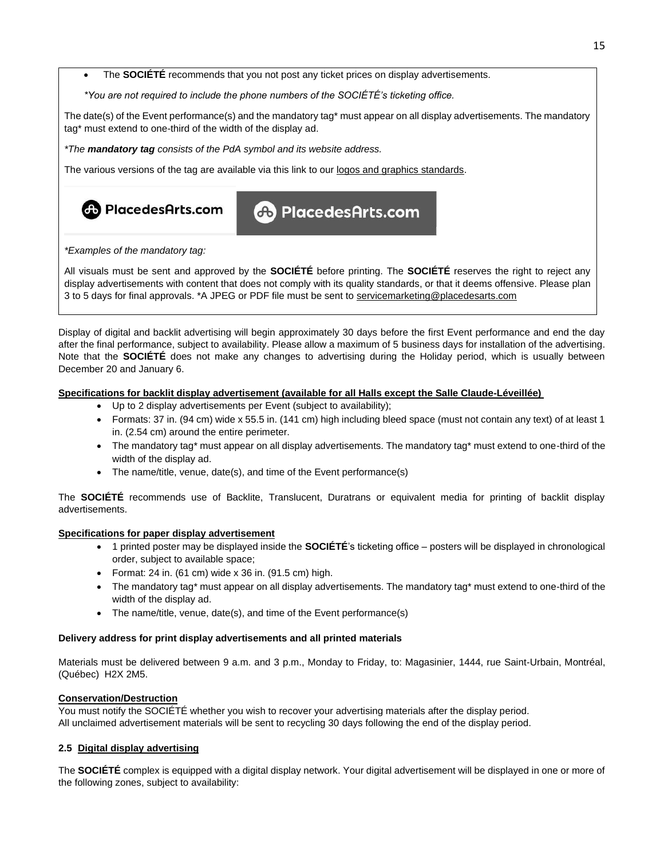• The **SOCIÉTÉ** recommends that you not post any ticket prices on display advertisements.

*\*You are not required to include the phone numbers of the SOCIÉTÉ's ticketing office.*

The date(s) of the Event performance(s) and the mandatory tag\* must appear on all display advertisements. The mandatory tag\* must extend to one-third of the width of the display ad.

*\*The mandatory tag consists of the PdA symbol and its website address.*

The various versions of the tag are available via this link to our [logos and graphics standards.](https://placedesarts.com/en/about-us/logos-and-graphic-chart)

**CD** PlacedesArts.com

**cb** PlacedesArts.com

*\*Examples of the mandatory tag:*

All visuals must be sent and approved by the **SOCIÉTÉ** before printing. The **SOCIÉTÉ** reserves the right to reject any display advertisements with content that does not comply with its quality standards, or that it deems offensive. Please plan 3 to 5 days for final approvals. \*A JPEG or PDF file must be sent to [servicemarketing@placedesarts.com](mailto:servicemarketing@placedesarts.com)

Display of digital and backlit advertising will begin approximately 30 days before the first Event performance and end the day after the final performance, subject to availability. Please allow a maximum of 5 business days for installation of the advertising. Note that the **SOCIÉTÉ** does not make any changes to advertising during the Holiday period, which is usually between December 20 and January 6.

## **Specifications for backlit display advertisement (available for all Halls except the Salle Claude-Léveillée)**

- Up to 2 display advertisements per Event (subject to availability);
- Formats: 37 in. (94 cm) wide x 55.5 in. (141 cm) high including bleed space (must not contain any text) of at least 1 in. (2.54 cm) around the entire perimeter.
- The mandatory tag\* must appear on all display advertisements. The mandatory tag\* must extend to one-third of the width of the display ad.
- The name/title, venue, date(s), and time of the Event performance(s)

The **SOCIÉTÉ** recommends use of Backlite, Translucent, Duratrans or equivalent media for printing of backlit display advertisements.

#### **Specifications for paper display advertisement**

- 1 printed poster may be displayed inside the **SOCIÉTÉ**'s ticketing office posters will be displayed in chronological order, subject to available space;
- Format: 24 in. (61 cm) wide  $x$  36 in. (91.5 cm) high.
- The mandatory tag\* must appear on all display advertisements. The mandatory tag\* must extend to one-third of the width of the display ad.
- The name/title, venue, date(s), and time of the Event performance(s)

#### **Delivery address for print display advertisements and all printed materials**

Materials must be delivered between 9 a.m. and 3 p.m., Monday to Friday, to: Magasinier, 1444, rue Saint-Urbain, Montréal, (Québec) H2X 2M5.

## **Conservation/Destruction**

You must notify the SOCIÉTÉ whether you wish to recover your advertising materials after the display period. All unclaimed advertisement materials will be sent to recycling 30 days following the end of the display period.

## **2.5 Digital display advertising**

The **SOCIÉTÉ** complex is equipped with a digital display network. Your digital advertisement will be displayed in one or more of the following zones, subject to availability: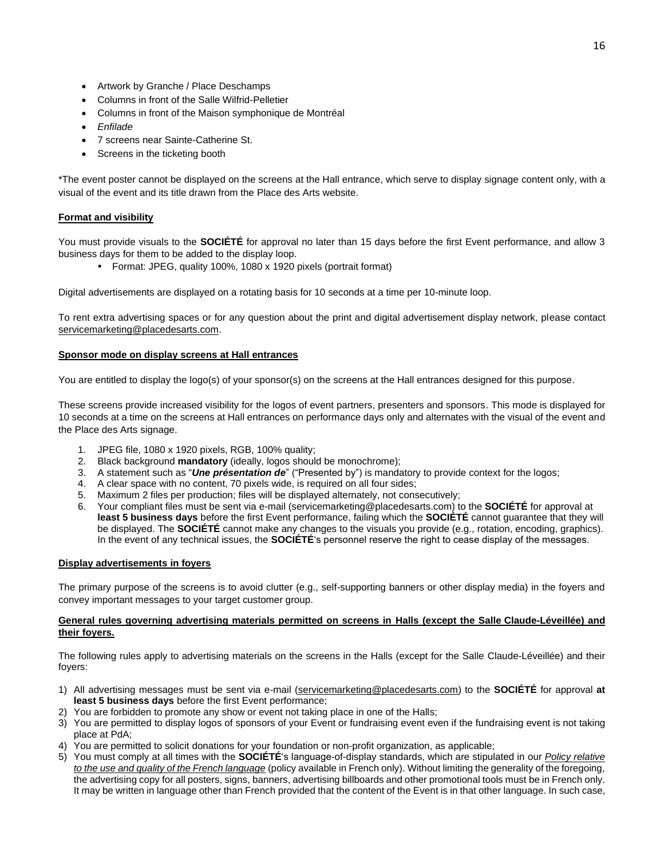- Artwork by Granche / Place Deschamps
- Columns in front of the Salle Wilfrid-Pelletier
- Columns in front of the Maison symphonique de Montréal
- *Enfilade*
- 7 screens near Sainte-Catherine St.
- Screens in the ticketing booth

\*The event poster cannot be displayed on the screens at the Hall entrance, which serve to display signage content only, with a visual of the event and its title drawn from the Place des Arts website.

## **Format and visibility**

You must provide visuals to the **SOCIÉTÉ** for approval no later than 15 days before the first Event performance, and allow 3 business days for them to be added to the display loop.

• Format: JPEG, quality 100%, 1080 x 1920 pixels (portrait format)

Digital advertisements are displayed on a rotating basis for 10 seconds at a time per 10-minute loop.

To rent extra advertising spaces or for any question about the print and digital advertisement display network, please contact [servicemarketing@placedesarts.com.](mailto:servicemarketing@placedesarts.com)

## **Sponsor mode on display screens at Hall entrances**

You are entitled to display the logo(s) of your sponsor(s) on the screens at the Hall entrances designed for this purpose.

These screens provide increased visibility for the logos of event partners, presenters and sponsors. This mode is displayed for 10 seconds at a time on the screens at Hall entrances on performance days only and alternates with the visual of the event and the Place des Arts signage.

- 1. JPEG file, 1080 x 1920 pixels, RGB, 100% quality;
- 2. Black background **mandatory** (ideally, logos should be monochrome);
- 3. A statement such as "*Une présentation de*" ("Presented by") is mandatory to provide context for the logos;
- 4. A clear space with no content, 70 pixels wide, is required on all four sides;
- 5. Maximum 2 files per production; files will be displayed alternately, not consecutively;
- 6. Your compliant files must be sent via e-mail [\(servicemarketing@placedesarts.com\)](mailto:servicemarketing@placedesarts.com) to the **SOCIÉTÉ** for approval at **least 5 business days** before the first Event performance, failing which the **SOCIÉTÉ** cannot guarantee that they will be displayed. The **SOCIÉTÉ** cannot make any changes to the visuals you provide (e.g., rotation, encoding, graphics). In the event of any technical issues, the **SOCIÉTÉ**'s personnel reserve the right to cease display of the messages.

## **Display advertisements in foyers**

The primary purpose of the screens is to avoid clutter (e.g., self-supporting banners or other display media) in the foyers and convey important messages to your target customer group.

## **General rules governing advertising materials permitted on screens in Halls (except the Salle Claude-Léveillée) and their foyers.**

The following rules apply to advertising materials on the screens in the Halls (except for the Salle Claude-Léveillée) and their foyers:

- 1) All advertising messages must be sent via e-mail [\(servicemarketing@placedesarts.com\)](mailto:servicemarketing@placedesarts.com) to the **SOCIÉTÉ** for approval **at least 5 business days** before the first Event performance;
- 2) You are forbidden to promote any show or event not taking place in one of the Halls;
- 3) You are permitted to display logos of sponsors of your Event or fundraising event even if the fundraising event is not taking place at PdA;
- 4) You are permitted to solicit donations for your foundation or non-profit organization, as applicable;
- 5) You must comply at all times with the **SOCIÉTÉ**'s language-of-display standards, which are stipulated in our *[Policy relative](https://placedesarts.com/sites/default/files/politique-langue-francaise-2018.pdf)  [to the use and quality of the French language](https://placedesarts.com/sites/default/files/politique-langue-francaise-2018.pdf)* (policy available in French only). Without limiting the generality of the foregoing, the advertising copy for all posters, signs, banners, advertising billboards and other promotional tools must be in French only. It may be written in language other than French provided that the content of the Event is in that other language. In such case,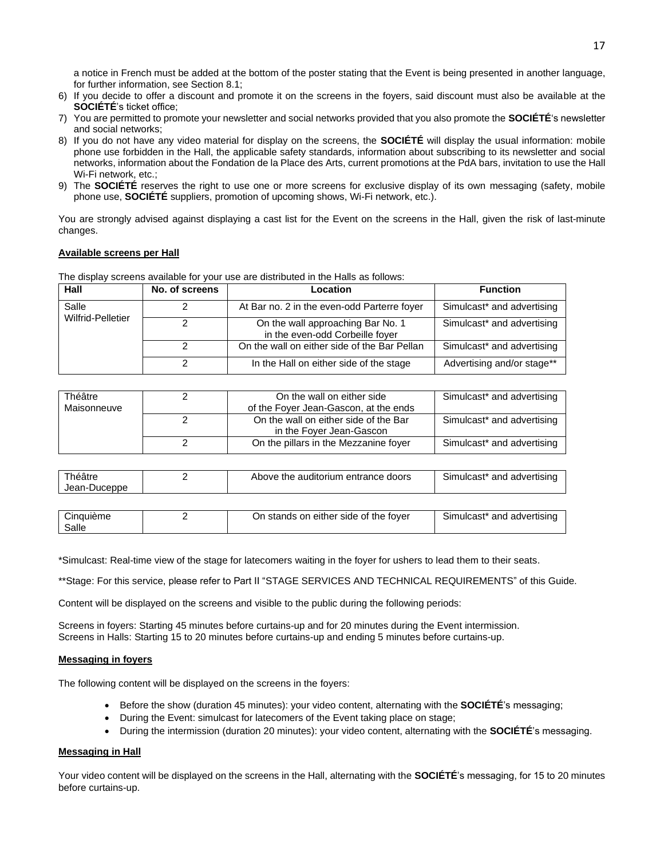a notice in French must be added at the bottom of the poster stating that the Event is being presented in another language, for further information, see Section 8.1;

- 6) If you decide to offer a discount and promote it on the screens in the foyers, said discount must also be available at the **SOCIÉTÉ**'s ticket office;
- 7) You are permitted to promote your newsletter and social networks provided that you also promote the **SOCIÉTÉ**'s newsletter and social networks;
- 8) If you do not have any video material for display on the screens, the **SOCIÉTÉ** will display the usual information: mobile phone use forbidden in the Hall, the applicable safety standards, information about subscribing to its newsletter and social networks, information about the Fondation de la Place des Arts, current promotions at the PdA bars, invitation to use the Hall Wi-Fi network, etc.;
- 9) The **SOCIÉTÉ** reserves the right to use one or more screens for exclusive display of its own messaging (safety, mobile phone use, **SOCIÉTÉ** suppliers, promotion of upcoming shows, Wi-Fi network, etc.).

You are strongly advised against displaying a cast list for the Event on the screens in the Hall, given the risk of last-minute changes.

#### **Available screens per Hall**

The display screens available for your use are distributed in the Halls as follows:

| Hall                       | No. of screens | Location                                                             | <b>Function</b>            |
|----------------------------|----------------|----------------------------------------------------------------------|----------------------------|
| Salle<br>Wilfrid-Pelletier |                | At Bar no. 2 in the even-odd Parterre foyer                          | Simulcast* and advertising |
|                            |                | On the wall approaching Bar No. 1<br>in the even-odd Corbeille fover | Simulcast* and advertising |
|                            |                | On the wall on either side of the Bar Pellan                         | Simulcast* and advertising |
|                            |                | In the Hall on either side of the stage                              | Advertising and/or stage** |

| Théâtre<br>Maisonneuve | On the wall on either side<br>of the Foyer Jean-Gascon, at the ends | Simulcast* and advertising |
|------------------------|---------------------------------------------------------------------|----------------------------|
|                        | On the wall on either side of the Bar<br>in the Foyer Jean-Gascon   | Simulcast* and advertising |
|                        | On the pillars in the Mezzanine foyer                               | Simulcast* and advertising |

| Théâtre<br>Jean-Duceppe | Above the auditorium entrance doors | Simulcast*<br>f and advertising |
|-------------------------|-------------------------------------|---------------------------------|
|                         |                                     |                                 |

| <b>Cinquième</b> | On stands on either side of the fover | Simulcast* and advertising |
|------------------|---------------------------------------|----------------------------|
| Salle            |                                       |                            |

\*Simulcast: Real-time view of the stage for latecomers waiting in the foyer for ushers to lead them to their seats.

\*\*Stage: For this service, please refer to Part II "STAGE SERVICES AND TECHNICAL REQUIREMENTS" of this Guide.

Content will be displayed on the screens and visible to the public during the following periods:

Screens in foyers: Starting 45 minutes before curtains-up and for 20 minutes during the Event intermission. Screens in Halls: Starting 15 to 20 minutes before curtains-up and ending 5 minutes before curtains-up.

#### **Messaging in foyers**

The following content will be displayed on the screens in the foyers:

- Before the show (duration 45 minutes): your video content, alternating with the **SOCIÉTÉ**'s messaging;
- During the Event: simulcast for latecomers of the Event taking place on stage;
- During the intermission (duration 20 minutes): your video content, alternating with the **SOCIÉTÉ**'s messaging.

#### **Messaging in Hall**

Your video content will be displayed on the screens in the Hall, alternating with the **SOCIÉTÉ**'s messaging, for 15 to 20 minutes before curtains-up.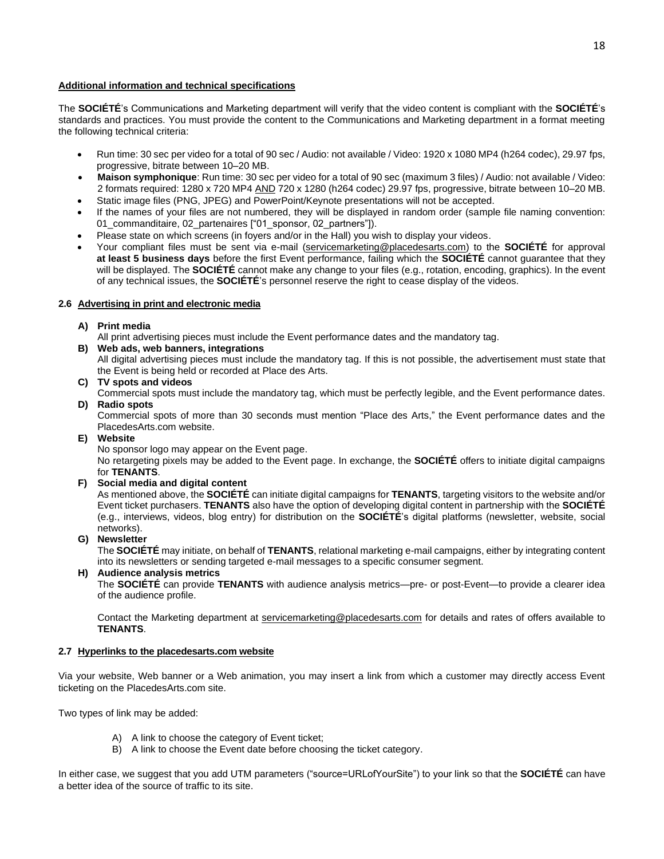### **Additional information and technical specifications**

The **SOCIÉTÉ**'s Communications and Marketing department will verify that the video content is compliant with the **SOCIÉTÉ**'s standards and practices. You must provide the content to the Communications and Marketing department in a format meeting the following technical criteria:

- Run time: 30 sec per video for a total of 90 sec / Audio: not available / Video: 1920 x 1080 MP4 (h264 codec), 29.97 fps, progressive, bitrate between 10–20 MB.
- **Maison symphonique**: Run time: 30 sec per video for a total of 90 sec (maximum 3 files) / Audio: not available / Video: 2 formats required: 1280 x 720 MP4 AND 720 x 1280 (h264 codec) 29.97 fps, progressive, bitrate between 10–20 MB.
- Static image files (PNG, JPEG) and PowerPoint/Keynote presentations will not be accepted.
- If the names of your files are not numbered, they will be displayed in random order (sample file naming convention: 01\_commanditaire, 02\_partenaires ["01\_sponsor, 02\_partners"]).
- Please state on which screens (in foyers and/or in the Hall) you wish to display your videos.
- Your compliant files must be sent via e-mail [\(servicemarketing@placedesarts.com\)](mailto:servicemarketing@placedesarts.com) to the **SOCIÉTÉ** for approval **at least 5 business days** before the first Event performance, failing which the **SOCIÉTÉ** cannot guarantee that they will be displayed. The **SOCIÉTÉ** cannot make any change to your files (e.g., rotation, encoding, graphics). In the event of any technical issues, the **SOCIÉTÉ**'s personnel reserve the right to cease display of the videos.

## **2.6 Advertising in print and electronic media**

## **A) Print media**

All print advertising pieces must include the Event performance dates and the mandatory tag.

- **B) Web ads, web banners, integrations** All digital advertising pieces must include the mandatory tag. If this is not possible, the advertisement must state that
- the Event is being held or recorded at Place des Arts. **C) TV spots and videos**

Commercial spots must include the mandatory tag, which must be perfectly legible, and the Event performance dates. **D) Radio spots**

Commercial spots of more than 30 seconds must mention "Place des Arts," the Event performance dates and the PlacedesArts.com website.

**E) Website**

No sponsor logo may appear on the Event page.

No retargeting pixels may be added to the Event page. In exchange, the **SOCIÉTÉ** offers to initiate digital campaigns for **TENANTS**.

**F) Social media and digital content**

As mentioned above, the **SOCIÉTÉ** can initiate digital campaigns for **TENANTS**, targeting visitors to the website and/or Event ticket purchasers. **TENANTS** also have the option of developing digital content in partnership with the **SOCIÉTÉ** (e.g., interviews, videos, blog entry) for distribution on the **SOCIÉTÉ**'s digital platforms (newsletter, website, social networks).

#### **G) Newsletter**

The **SOCIÉTÉ** may initiate, on behalf of **TENANTS**, relational marketing e-mail campaigns, either by integrating content into its newsletters or sending targeted e-mail messages to a specific consumer segment.

**H) Audience analysis metrics**

The **SOCIÉTÉ** can provide **TENANTS** with audience analysis metrics—pre- or post-Event—to provide a clearer idea of the audience profile.

Contact the Marketing department at [servicemarketing@placedesarts.com](mailto:servicemarketing@placedesarts.com) for details and rates of offers available to **TENANTS**.

#### **2.7 Hyperlinks to the placedesarts.com website**

Via your website, Web banner or a Web animation, you may insert a link from which a customer may directly access Event ticketing on the PlacedesArts.com site.

Two types of link may be added:

- A) A link to choose the category of Event ticket;
- B) A link to choose the Event date before choosing the ticket category.

In either case, we suggest that you add UTM parameters ("source=URLofYourSite") to your link so that the **SOCIÉTÉ** can have a better idea of the source of traffic to its site.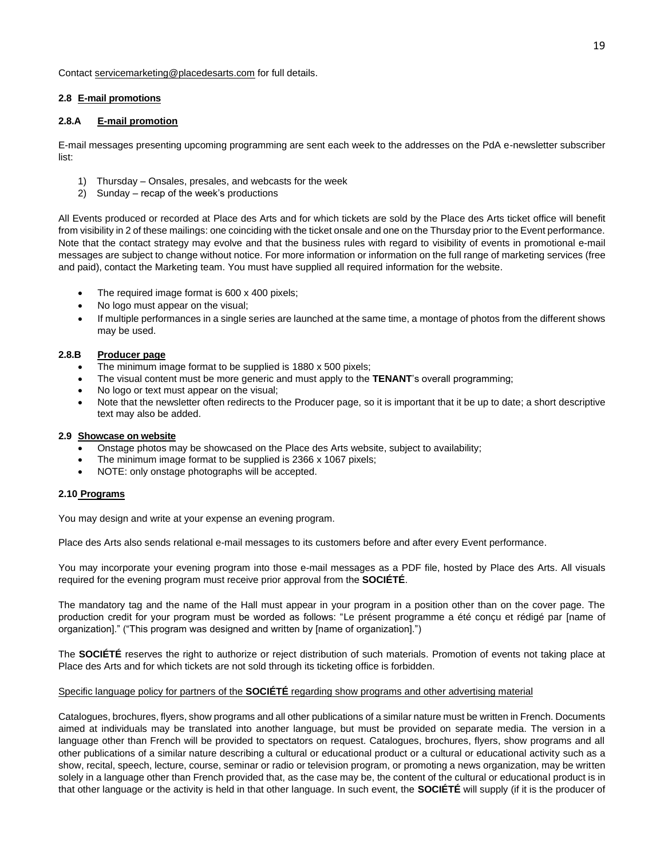Contact [servicemarketing@placedesarts.com](mailto:servicemarketing@placedesarts.com) for full details.

## **2.8 E-mail promotions**

## **2.8.A E-mail promotion**

E-mail messages presenting upcoming programming are sent each week to the addresses on the PdA e-newsletter subscriber list:

- 1) Thursday Onsales, presales, and webcasts for the week
- 2) Sunday recap of the week's productions

All Events produced or recorded at Place des Arts and for which tickets are sold by the Place des Arts ticket office will benefit from visibility in 2 of these mailings: one coinciding with the ticket onsale and one on the Thursday prior to the Event performance. Note that the contact strategy may evolve and that the business rules with regard to visibility of events in promotional e-mail messages are subject to change without notice. For more information or information on the full range of marketing services (free and paid), contact the Marketing team. You must have supplied all required information for the website.

- The required image format is  $600 \times 400$  pixels;
- No logo must appear on the visual;
- If multiple performances in a single series are launched at the same time, a montage of photos from the different shows may be used.

#### **2.8.B Producer page**

- The minimum image format to be supplied is 1880 x 500 pixels;
- The visual content must be more generic and must apply to the **TENANT**'s overall programming;
- No logo or text must appear on the visual;
- Note that the newsletter often redirects to the Producer page, so it is important that it be up to date; a short descriptive text may also be added.

#### **2.9 Showcase on website**

- Onstage photos may be showcased on the Place des Arts website, subject to availability;
- The minimum image format to be supplied is 2366 x 1067 pixels;
- NOTE: only onstage photographs will be accepted.

#### **2.10 Programs**

You may design and write at your expense an evening program.

Place des Arts also sends relational e-mail messages to its customers before and after every Event performance.

You may incorporate your evening program into those e-mail messages as a PDF file, hosted by Place des Arts. All visuals required for the evening program must receive prior approval from the **SOCIÉTÉ**.

The mandatory tag and the name of the Hall must appear in your program in a position other than on the cover page. The production credit for your program must be worded as follows: "Le présent programme a été conçu et rédigé par [name of organization]." ("This program was designed and written by [name of organization].")

The **SOCIÉTÉ** reserves the right to authorize or reject distribution of such materials. Promotion of events not taking place at Place des Arts and for which tickets are not sold through its ticketing office is forbidden.

## Specific language policy for partners of the **SOCIÉTÉ** regarding show programs and other advertising material

Catalogues, brochures, flyers, show programs and all other publications of a similar nature must be written in French. Documents aimed at individuals may be translated into another language, but must be provided on separate media. The version in a language other than French will be provided to spectators on request. Catalogues, brochures, flyers, show programs and all other publications of a similar nature describing a cultural or educational product or a cultural or educational activity such as a show, recital, speech, lecture, course, seminar or radio or television program, or promoting a news organization, may be written solely in a language other than French provided that, as the case may be, the content of the cultural or educational product is in that other language or the activity is held in that other language. In such event, the **SOCIÉTÉ** will supply (if it is the producer of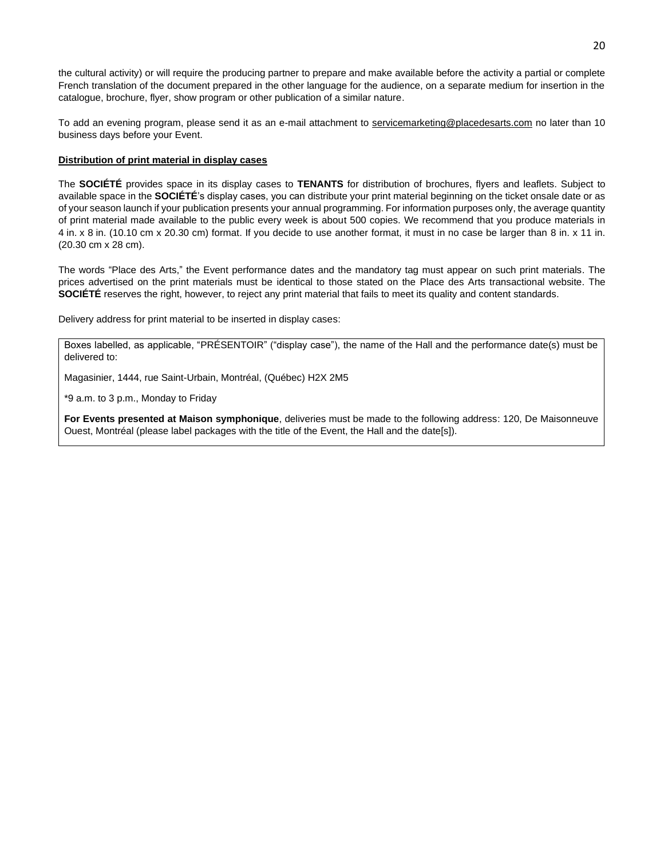the cultural activity) or will require the producing partner to prepare and make available before the activity a partial or complete French translation of the document prepared in the other language for the audience, on a separate medium for insertion in the catalogue, brochure, flyer, show program or other publication of a similar nature.

To add an evening program, please send it as an e-mail attachment to [servicemarketing@placedesarts.com](mailto:servicemarketing@placedesarts.com) no later than 10 business days before your Event.

#### **Distribution of print material in display cases**

The **SOCIÉTÉ** provides space in its display cases to **TENANTS** for distribution of brochures, flyers and leaflets. Subject to available space in the **SOCIÉTÉ**'s display cases, you can distribute your print material beginning on the ticket onsale date or as of your season launch if your publication presents your annual programming. For information purposes only, the average quantity of print material made available to the public every week is about 500 copies. We recommend that you produce materials in 4 in. x 8 in. (10.10 cm x 20.30 cm) format. If you decide to use another format, it must in no case be larger than 8 in. x 11 in. (20.30 cm x 28 cm).

The words "Place des Arts," the Event performance dates and the mandatory tag must appear on such print materials. The prices advertised on the print materials must be identical to those stated on the Place des Arts transactional website. The **SOCIÉTÉ** reserves the right, however, to reject any print material that fails to meet its quality and content standards.

Delivery address for print material to be inserted in display cases:

Boxes labelled, as applicable, "PRÉSENTOIR" ("display case"), the name of the Hall and the performance date(s) must be delivered to:

Magasinier, 1444, rue Saint-Urbain, Montréal, (Québec) H2X 2M5

\*9 a.m. to 3 p.m., Monday to Friday

**For Events presented at Maison symphonique**, deliveries must be made to the following address: 120, De Maisonneuve Ouest, Montréal (please label packages with the title of the Event, the Hall and the date[s]).